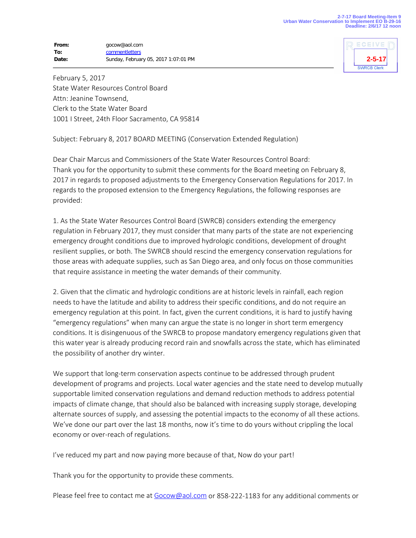## **From:** gocow@aol.com **To:** [commentletters](mailto:commentletters@waterboards.ca.gov) **Date:** Sunday, February 05, 2017 1:07:01 PM



February 5, 2017 State Water Resources Control Board Attn: Jeanine Townsend, Clerk to the State Water Board 1001 I Street, 24th Floor Sacramento, CA 95814

Subject: February 8, 2017 BOARD MEETING (Conservation Extended Regulation)

Dear Chair Marcus and Commissioners of the State Water Resources Control Board: Thank you for the opportunity to submit these comments for the Board meeting on February 8, 2017 in regards to proposed adjustments to the Emergency Conservation Regulations for 2017. In regards to the proposed extension to the Emergency Regulations, the following responses are provided:

1. As the State Water Resources Control Board (SWRCB) considers extending the emergency regulation in February 2017, they must consider that many parts of the state are not experiencing emergency drought conditions due to improved hydrologic conditions, development of drought resilient supplies, or both. The SWRCB should rescind the emergency conservation regulations for those areas with adequate supplies, such as San Diego area, and only focus on those communities that require assistance in meeting the water demands of their community.

2. Given that the climatic and hydrologic conditions are at historic levels in rainfall, each region needs to have the latitude and ability to address their specific conditions, and do not require an emergency regulation at this point. In fact, given the current conditions, it is hard to justify having "emergency regulations" when many can argue the state is no longer in short term emergency conditions. It is disingenuous of the SWRCB to propose mandatory emergency regulations given that this water year is already producing record rain and snowfalls across the state, which has eliminated the possibility of another dry winter.

We support that long-term conservation aspects continue to be addressed through prudent development of programs and projects. Local water agencies and the state need to develop mutually supportable limited conservation regulations and demand reduction methods to address potential impacts of climate change, that should also be balanced with increasing supply storage, developing alternate sources of supply, and assessing the potential impacts to the economy of all these actions. We've done our part over the last 18 months, now it's time to do yours without crippling the local economy or over-reach of regulations.

I've reduced my part and now paying more because of that, Now do your part!

Thank you for the opportunity to provide these comments.

Please feel free to contact me at [Gocow@aol.com](mailto:Gocow@aol.com) or 858-222-1183 for any additional comments or